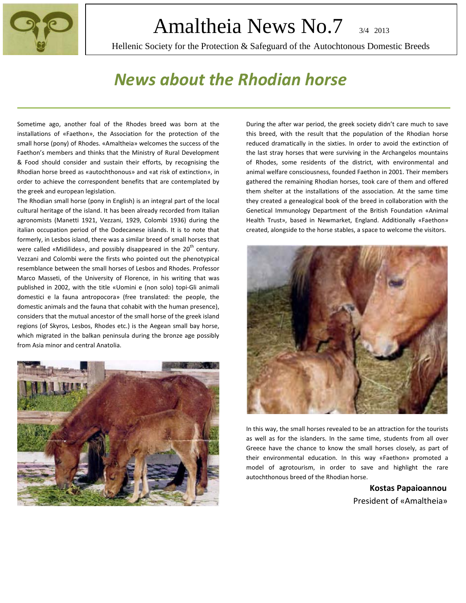

# Amaltheia News No.7 3/4 <sup>2013</sup>

Hellenic Society for the Protection & Safeguard of the Autochtonous Domestic Breeds

## *News about the Rhodian horse*

 Sometime ago, another foal of the Rhodes breed was born at the installations of «Faethon», the Association for the protection of the small horse (pony) of Rhodes. «Amaltheia» welcomes the success of the Faethon's members and thinks that the Ministry of Rural Development & Food should consider and sustain their efforts, by recognising the Rhodian horse breed as «autochthonous» and «at risk of extinction», in order to achieve the correspondent benefits that are contemplated by the greek and european legislation.

The Rhodian small horse (pony in English) is an integral part of the local cultural heritage of the island. It has been already recorded from Italian agronomists (Manetti 1921, Vezzani, 1929, Colombi 1936) during the italian occupation period of the Dodecanese islands. It is to note that formerly, in Lesbos island, there was a similar breed of small horses that were called «Midilides», and possibly disappeared in the  $20<sup>th</sup>$  century. Vezzani and Colombi were the firsts who pointed out the phenotypical resemblance between the small horses of Lesbos and Rhodes. Professor Marco Masseti, of the University of Florence, in his writing that was published in 2002, with the title «Uomini e (non solo) topi-Gli animali domestici e la fauna antropocora» (free translated: the people, the domestic animals and the fauna that cohabit with the human presence), considers that the mutual ancestor of the small horse of the greek island regions (of Skyros, Lesbos, Rhodes etc.) is the Aegean small bay horse, which migrated in the balkan peninsula during the bronze age possibly from Asia minor and central Anatolia.



During the after war period, the greek society didn't care much to save this breed, with the result that the population of the Rhodian horse reduced dramatically in the sixties. In order to avoid the extinction of the last stray horses that were surviving in the Archangelos mountains of Rhodes, some residents of the district, with environmental and animal welfare consciousness, founded Faethon in 2001. Their members gathered the remaining Rhodian horses, took care of them and offered them shelter at the installations of the association. At the same time they created a genealogical book of the breed in collaboration with the Genetical Immunology Department of the British Foundation «Animal Health Trust», based in Newmarket, England. Additionally «Faethon» created, alongside to the horse stables, a space to welcome the visitors.



In this way, the small horses revealed to be an attraction for the tourists as well as for the islanders. In the same time, students from all over Greece have the chance to know the small horses closely, as part of their environmental education. In this way «Faethon» promoted a model of agrotourism, in order to save and highlight the rare autochthonous breed of the Rhodian horse.

> **Kostas Papaioannou** President of «Amaltheia»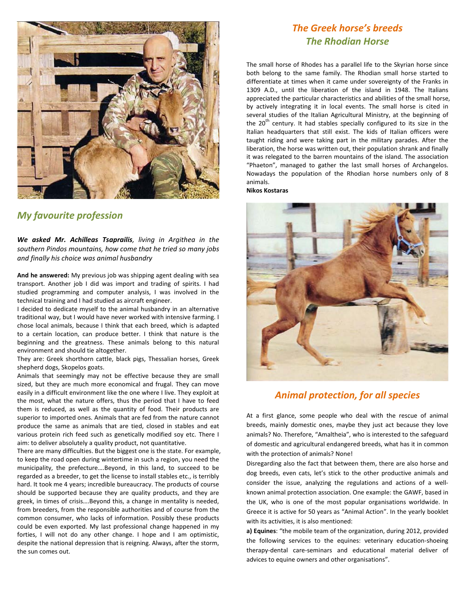

### *My favourite profession*

*We asked Mr. Achilleas Tsaprailis, living in Argithea in the southern Pindos mountains, how come that he tried so many jobs and finally his choice was animal husbandry*

**And he answered:** My previous job was shipping agent dealing with sea transport. Another job I did was import and trading of spirits. I had studied programming and computer analysis, I was involved in the technical training and I had studied as aircraft engineer.

I decided to dedicate myself to the animal husbandry in an alternative traditional way, but I would have never worked with intensive farming. I chose local animals, because I think that each breed, which is adapted to a certain location, can produce better. I think that nature is the beginning and the greatness. These animals belong to this natural environment and should tie altogether.

They are: Greek shorthorn cattle, black pigs, Thessalian horses, Greek shepherd dogs, Skopelos goats.

Animals that seemingly may not be effective because they are small sized, but they are much more economical and frugal. They can move easily in a difficult environment like the one where I live. They exploit at the most, what the nature offers, thus the period that I have to feed them is reduced, as well as the quantity of food. Their products are superior to imported ones. Animals that are fed from the nature cannot produce the same as animals that are tied, closed in stables and eat various protein rich feed such as genetically modified soy etc. There I aim: to deliver absolutely a quality product, not quantitative.

There are many difficulties. But the biggest one is the state. For example, to keep the road open during wintertime in such a region, you need the municipality, the prefecture….Beyond, in this land, to succeed to be regarded as a breeder, to get the license to install stables etc., is terribly hard. It took me 4 years; incredible bureaucracy. The products of course should be supported because they are quality products, and they are greek, in times of crisis….Beyond this, a change in mentality is needed, from breeders, from the responsible authorities and of course from the common consumer, who lacks of information. Possibly these products could be even exported. My last professional change happened in my forties, I will not do any other change. I hope and I am optimistic, despite the national depression that is reigning. Always, after the storm, the sun comes out.

## *The Greek horse's breeds The Rhodian Horse*

The small horse of Rhodes has a parallel life to the Skyrian horse since both belong to the same family. The Rhodian small horse started to differentiate at times when it came under sovereignty of the Franks in 1309 A.D., until the liberation of the island in 1948. The Italians appreciated the particular characteristics and abilities of the small horse, by actively integrating it in local events. The small horse is cited in several studies of the Italian Agricultural Ministry, at the beginning of the  $20<sup>th</sup>$  century. It had stables specially configured to its size in the Italian headquarters that still exist. The kids of Italian officers were taught riding and were taking part in the military parades. After the liberation, the horse was written out, their population shrank and finally it was relegated to the barren mountains of the island. The association "Phaeton", managed to gather the last small horses of Archangelos. Nowadays the population of the Rhodian horse numbers only of 8 animals.

#### **Nikos Kostaras**



### *Animal protection, for all species*

At a first glance, some people who deal with the rescue of animal breeds, mainly domestic ones, maybe they just act because they love animals? No. Therefore, "Amaltheia", who is interested to the safeguard of domestic and agricultural endangered breeds, what has it in common with the protection of animals? None!

Disregarding also the fact that between them, there are also horse and dog breeds, even cats, let's stick to the other productive animals and consider the issue, analyzing the regulations and actions of a wellknown animal protection association. One example: the GAWF, based in the UK, who is one of the most popular organisations worldwide. In Greece it is active for 50 years as "Animal Action". In the yearly booklet with its activities, it is also mentioned:

**a) Equines**: "the mobile team of the organization, during 2012, provided the following services to the equines: veterinary education-shoeing therapy-dental care-seminars and educational material deliver of advices to equine owners and other organisations".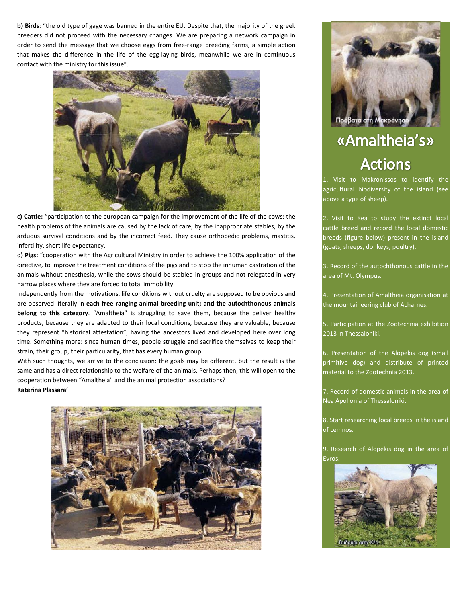**b) Birds**: "the old type of gage was banned in the entire EU. Despite that, the majority of the greek breeders did not proceed with the necessary changes. We are preparing a network campaign in order to send the message that we choose eggs from free-range breeding farms, a simple action that makes the difference in the life of the egg-laying birds, meanwhile we are in continuous contact with the ministry for this issue".



**c) Cattle:** "participation to the european campaign for the improvement of the life of the cows: the health problems of the animals are caused by the lack of care, by the inappropriate stables, by the arduous survival conditions and by the incorrect feed. They cause orthopedic problems, mastitis, infertility, short life expectancy.

d**) Pigs:** "cooperation with the Agricultural Ministry in order to achieve the 100% application of the directive, to improve the treatment conditions of the pigs and to stop the inhuman castration of the animals without anesthesia, while the sows should be stabled in groups and not relegated in very narrow places where they are forced to total immobility.

Independently from the motivations, life conditions without cruelty are supposed to be obvious and are observed literally in **each free ranging animal breeding unit; and the autochthonous animals belong to this category**. "Amaltheia" is struggling to save them, because the deliver healthy products, because they are adapted to their local conditions, because they are valuable, because they represent "historical attestation", having the ancestors lived and developed here over long time. Something more: since human times, people struggle and sacrifice themselves to keep their strain, their group, their particularity, that has every human group.

With such thoughts, we arrive to the conclusion: the goals may be different, but the result is the same and has a direct relationship to the welfare of the animals. Perhaps then, this will open to the cooperation between "Amaltheia" and the animal protection associations? **Katerina Plassara'**





# «Amaltheia's» **Actions**

1. Visit to Makronissos to identify the agricultural biodiversity of the island (see above a type of sheep).

2. Visit to Kea to study the extinct local cattle breed and record the local domestic breeds (figure below) present in the island (goats, sheeps, donkeys, poultry).

3. Record of the autochthonous cattle in the area of Mt. Olympus.

4. Presentation of Amaltheia organisation at the mountaineering club of Acharnes.

5. Participation at the Zootechnia exhibition 2013 in Thessaloniki.

6. Presentation of the Alopekis dog (small primitive dog) and distribute of printed material to the Zootechnia 2013.

7. Record of domestic animals in the area of Nea Apollonia of Thessaloniki.

8. Start researching local breeds in the island of Lemnos.

9. Research of Alopekis dog in the area of **Evros**